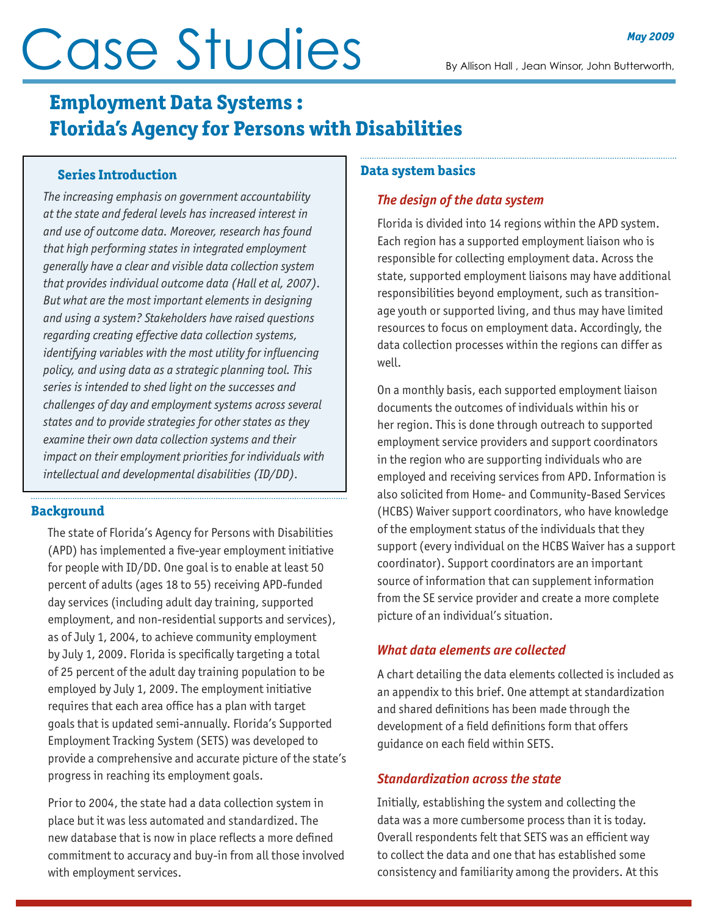# Gase Studies By Allison Hall , Jean Winsor, John Butterworth,

# **Employment Data Systems : Florida's Agency for Persons with Disabilities**

## **Series Introduction**

*The increasing emphasis on government accountability at the state and federal levels has increased interest in and use of outcome data. Moreover, research has found that high performing states in integrated employment generally have a clear and visible data collection system that provides individual outcome data (Hall et al, 2007). But what are the most important elements in designing and using a system? Stakeholders have raised questions regarding creating effective data collection systems, identifying variables with the most utility for influencing policy, and using data as a strategic planning tool. This series is intended to shed light on the successes and challenges of day and employment systems across several states and to provide strategies for other states as they examine their own data collection systems and their impact on their employment priorities for individuals with intellectual and developmental disabilities (ID/DD).*

# **Background**

The state of Florida's Agency for Persons with Disabilities (APD) has implemented a five-year employment initiative for people with ID/DD. One goal is to enable at least 50 percent of adults (ages 18 to 55) receiving APD-funded day services (including adult day training, supported employment, and non-residential supports and services), as of July 1, 2004, to achieve community employment by July 1, 2009. Florida is specifically targeting a total of 25 percent of the adult day training population to be employed by July 1, 2009. The employment initiative requires that each area office has a plan with target goals that is updated semi-annually. Florida's Supported Employment Tracking System (SETS) was developed to provide a comprehensive and accurate picture of the state's progress in reaching its employment goals.

Prior to 2004, the state had a data collection system in place but it was less automated and standardized. The new database that is now in place reflects a more defined commitment to accuracy and buy-in from all those involved with employment services.

#### **Data system basics**

# *The design of the data system*

Florida is divided into 14 regions within the APD system. Each region has a supported employment liaison who is responsible for collecting employment data. Across the state, supported employment liaisons may have additional responsibilities beyond employment, such as transitionage youth or supported living, and thus may have limited resources to focus on employment data. Accordingly, the data collection processes within the regions can differ as well.

On a monthly basis, each supported employment liaison documents the outcomes of individuals within his or her region. This is done through outreach to supported employment service providers and support coordinators in the region who are supporting individuals who are employed and receiving services from APD. Information is also solicited from Home- and Community-Based Services (HCBS) Waiver support coordinators, who have knowledge of the employment status of the individuals that they support (every individual on the HCBS Waiver has a support coordinator). Support coordinators are an important source of information that can supplement information from the SE service provider and create a more complete picture of an individual's situation.

# *What data elements are collected*

A chart detailing the data elements collected is included as an appendix to this brief. One attempt at standardization and shared definitions has been made through the development of a field definitions form that offers guidance on each field within SETS.

# *Standardization across the state*

Initially, establishing the system and collecting the data was a more cumbersome process than it is today. Overall respondents felt that SETS was an efficient way to collect the data and one that has established some consistency and familiarity among the providers. At this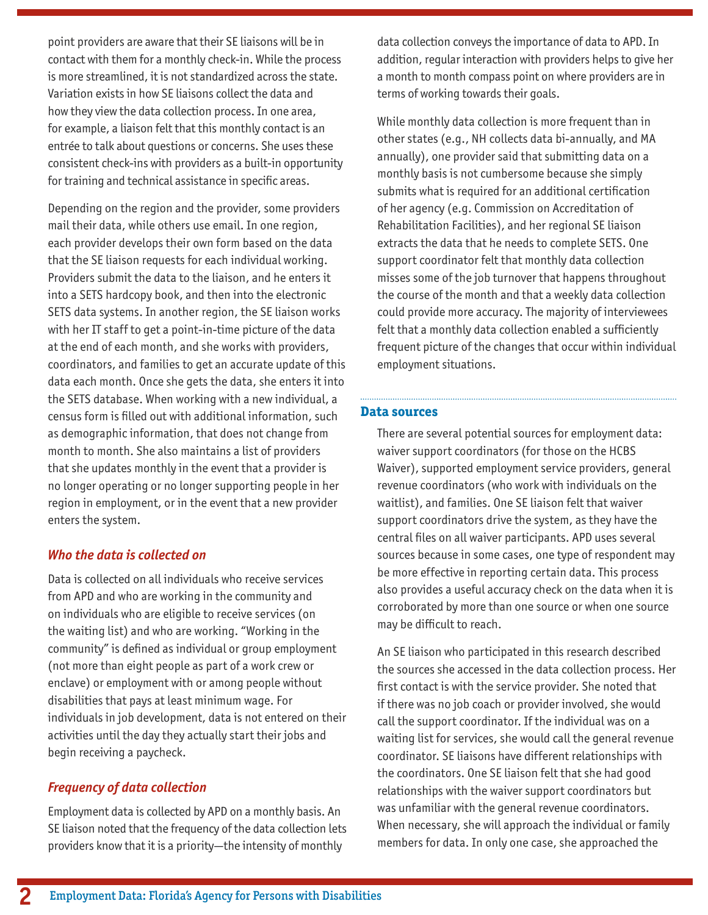point providers are aware that their SE liaisons will be in contact with them for a monthly check-in. While the process is more streamlined, it is not standardized across the state. Variation exists in how SE liaisons collect the data and how they view the data collection process. In one area, for example, a liaison felt that this monthly contact is an entrée to talk about questions or concerns. She uses these consistent check-ins with providers as a built-in opportunity for training and technical assistance in specific areas.

Depending on the region and the provider, some providers mail their data, while others use email. In one region, each provider develops their own form based on the data that the SE liaison requests for each individual working. Providers submit the data to the liaison, and he enters it into a SETS hardcopy book, and then into the electronic SETS data systems. In another region, the SE liaison works with her IT staff to get a point-in-time picture of the data at the end of each month, and she works with providers, coordinators, and families to get an accurate update of this data each month. Once she gets the data, she enters it into the SETS database. When working with a new individual, a census form is filled out with additional information, such as demographic information, that does not change from month to month. She also maintains a list of providers that she updates monthly in the event that a provider is no longer operating or no longer supporting people in her region in employment, or in the event that a new provider enters the system.

# *Who the data is collected on*

Data is collected on all individuals who receive services from APD and who are working in the community and on individuals who are eligible to receive services (on the waiting list) and who are working. "Working in the community" is defined as individual or group employment (not more than eight people as part of a work crew or enclave) or employment with or among people without disabilities that pays at least minimum wage. For individuals in job development, data is not entered on their activities until the day they actually start their jobs and begin receiving a paycheck.

# *Frequency of data collection*

Employment data is collected by APD on a monthly basis. An SE liaison noted that the frequency of the data collection lets providers know that it is a priority—the intensity of monthly

data collection conveys the importance of data to APD. In addition, regular interaction with providers helps to give her a month to month compass point on where providers are in terms of working towards their goals.

While monthly data collection is more frequent than in other states (e.g., NH collects data bi-annually, and MA annually), one provider said that submitting data on a monthly basis is not cumbersome because she simply submits what is required for an additional certification of her agency (e.g. Commission on Accreditation of Rehabilitation Facilities), and her regional SE liaison extracts the data that he needs to complete SETS. One support coordinator felt that monthly data collection misses some of the job turnover that happens throughout the course of the month and that a weekly data collection could provide more accuracy. The majority of interviewees felt that a monthly data collection enabled a sufficiently frequent picture of the changes that occur within individual employment situations.

#### **Data sources**

There are several potential sources for employment data: waiver support coordinators (for those on the HCBS Waiver), supported employment service providers, general revenue coordinators (who work with individuals on the waitlist), and families. One SE liaison felt that waiver support coordinators drive the system, as they have the central files on all waiver participants. APD uses several sources because in some cases, one type of respondent may be more effective in reporting certain data. This process also provides a useful accuracy check on the data when it is corroborated by more than one source or when one source may be difficult to reach.

An SE liaison who participated in this research described the sources she accessed in the data collection process. Her first contact is with the service provider. She noted that if there was no job coach or provider involved, she would call the support coordinator. If the individual was on a waiting list for services, she would call the general revenue coordinator. SE liaisons have different relationships with the coordinators. One SE liaison felt that she had good relationships with the waiver support coordinators but was unfamiliar with the general revenue coordinators. When necessary, she will approach the individual or family members for data. In only one case, she approached the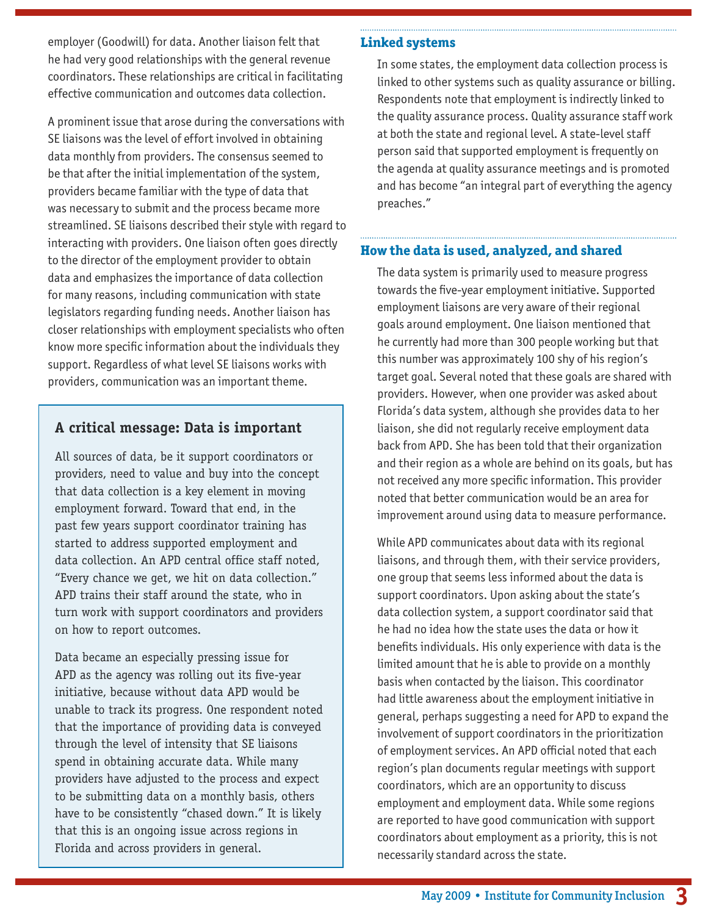employer (Goodwill) for data. Another liaison felt that he had very good relationships with the general revenue coordinators. These relationships are critical in facilitating effective communication and outcomes data collection.

A prominent issue that arose during the conversations with SE liaisons was the level of effort involved in obtaining data monthly from providers. The consensus seemed to be that after the initial implementation of the system, providers became familiar with the type of data that was necessary to submit and the process became more streamlined. SE liaisons described their style with regard to interacting with providers. One liaison often goes directly to the director of the employment provider to obtain data and emphasizes the importance of data collection for many reasons, including communication with state legislators regarding funding needs. Another liaison has closer relationships with employment specialists who often know more specific information about the individuals they support. Regardless of what level SE liaisons works with providers, communication was an important theme.

# **A critical message: Data is important**

All sources of data, be it support coordinators or providers, need to value and buy into the concept that data collection is a key element in moving employment forward. Toward that end, in the past few years support coordinator training has started to address supported employment and data collection. An APD central office staff noted, "Every chance we get, we hit on data collection." APD trains their staff around the state, who in turn work with support coordinators and providers on how to report outcomes.

Data became an especially pressing issue for APD as the agency was rolling out its five-year initiative, because without data APD would be unable to track its progress. One respondent noted that the importance of providing data is conveyed through the level of intensity that SE liaisons spend in obtaining accurate data. While many providers have adjusted to the process and expect to be submitting data on a monthly basis, others have to be consistently "chased down." It is likely that this is an ongoing issue across regions in Florida and across providers in general.

#### **Linked systems**

In some states, the employment data collection process is linked to other systems such as quality assurance or billing. Respondents note that employment is indirectly linked to the quality assurance process. Quality assurance staff work at both the state and regional level. A state-level staff person said that supported employment is frequently on the agenda at quality assurance meetings and is promoted and has become "an integral part of everything the agency preaches."

### **How the data is used, analyzed, and shared**

The data system is primarily used to measure progress towards the five-year employment initiative. Supported employment liaisons are very aware of their regional goals around employment. One liaison mentioned that he currently had more than 300 people working but that this number was approximately 100 shy of his region's target goal. Several noted that these goals are shared with providers. However, when one provider was asked about Florida's data system, although she provides data to her liaison, she did not regularly receive employment data back from APD. She has been told that their organization and their region as a whole are behind on its goals, but has not received any more specific information. This provider noted that better communication would be an area for improvement around using data to measure performance.

While APD communicates about data with its regional liaisons, and through them, with their service providers, one group that seems less informed about the data is support coordinators. Upon asking about the state's data collection system, a support coordinator said that he had no idea how the state uses the data or how it benefits individuals. His only experience with data is the limited amount that he is able to provide on a monthly basis when contacted by the liaison. This coordinator had little awareness about the employment initiative in general, perhaps suggesting a need for APD to expand the involvement of support coordinators in the prioritization of employment services. An APD official noted that each region's plan documents regular meetings with support coordinators, which are an opportunity to discuss employment and employment data. While some regions are reported to have good communication with support coordinators about employment as a priority, this is not necessarily standard across the state.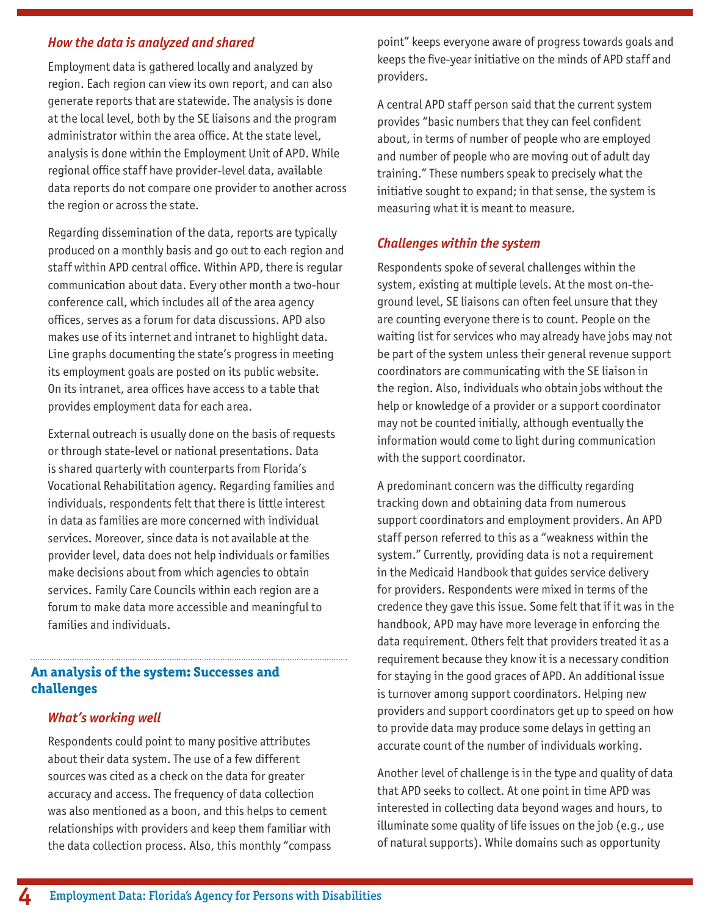#### *How the data is analyzed and shared*

Employment data is gathered locally and analyzed by region. Each region can view its own report, and can also generate reports that are statewide. The analysis is done at the local level, both by the SE liaisons and the program administrator within the area office. At the state level, analysis is done within the Employment Unit of APD. While regional office staff have provider-level data, available data reports do not compare one provider to another across the region or across the state.

Regarding dissemination of the data, reports are typically produced on a monthly basis and go out to each region and staff within APD central office. Within APD, there is regular communication about data. Every other month a two-hour conference call, which includes all of the area agency offices, serves as a forum for data discussions. APD also makes use of its internet and intranet to highlight data. Line graphs documenting the state's progress in meeting its employment goals are posted on its public website. On its intranet, area offices have access to a table that provides employment data for each area.

External outreach is usually done on the basis of requests or through state-level or national presentations. Data is shared quarterly with counterparts from Florida's Vocational Rehabilitation agency. Regarding families and individuals, respondents felt that there is little interest in data as families are more concerned with individual services. Moreover, since data is not available at the provider level, data does not help individuals or families make decisions about from which agencies to obtain services. Family Care Councils within each region are a forum to make data more accessible and meaningful to families and individuals.

#### **An analysis of the system: Successes and challenges**

#### *What's working well*

Respondents could point to many positive attributes about their data system. The use of a few different sources was cited as a check on the data for greater accuracy and access. The frequency of data collection was also mentioned as a boon, and this helps to cement relationships with providers and keep them familiar with the data collection process. Also, this monthly "compass point" keeps everyone aware of progress towards goals and keeps the five-year initiative on the minds of APD staff and providers.

A central APD staff person said that the current system provides "basic numbers that they can feel confident about, in terms of number of people who are employed and number of people who are moving out of adult day training." These numbers speak to precisely what the initiative sought to expand; in that sense, the system is measuring what it is meant to measure.

#### *Challenges within the system*

Respondents spoke of several challenges within the system, existing at multiple levels. At the most on-theground level, SE liaisons can often feel unsure that they are counting everyone there is to count. People on the waiting list for services who may already have jobs may not be part of the system unless their general revenue support coordinators are communicating with the SE liaison in the region. Also, individuals who obtain jobs without the help or knowledge of a provider or a support coordinator may not be counted initially, although eventually the information would come to light during communication with the support coordinator.

A predominant concern was the difficulty regarding tracking down and obtaining data from numerous support coordinators and employment providers. An APD staff person referred to this as a "weakness within the system." Currently, providing data is not a requirement in the Medicaid Handbook that guides service delivery for providers. Respondents were mixed in terms of the credence they gave this issue. Some felt that if it was in the handbook, APD may have more leverage in enforcing the data requirement. Others felt that providers treated it as a requirement because they know it is a necessary condition for staying in the good graces of APD. An additional issue is turnover among support coordinators. Helping new providers and support coordinators get up to speed on how to provide data may produce some delays in getting an accurate count of the number of individuals working.

Another level of challenge is in the type and quality of data that APD seeks to collect. At one point in time APD was interested in collecting data beyond wages and hours, to illuminate some quality of life issues on the job (e.g., use of natural supports). While domains such as opportunity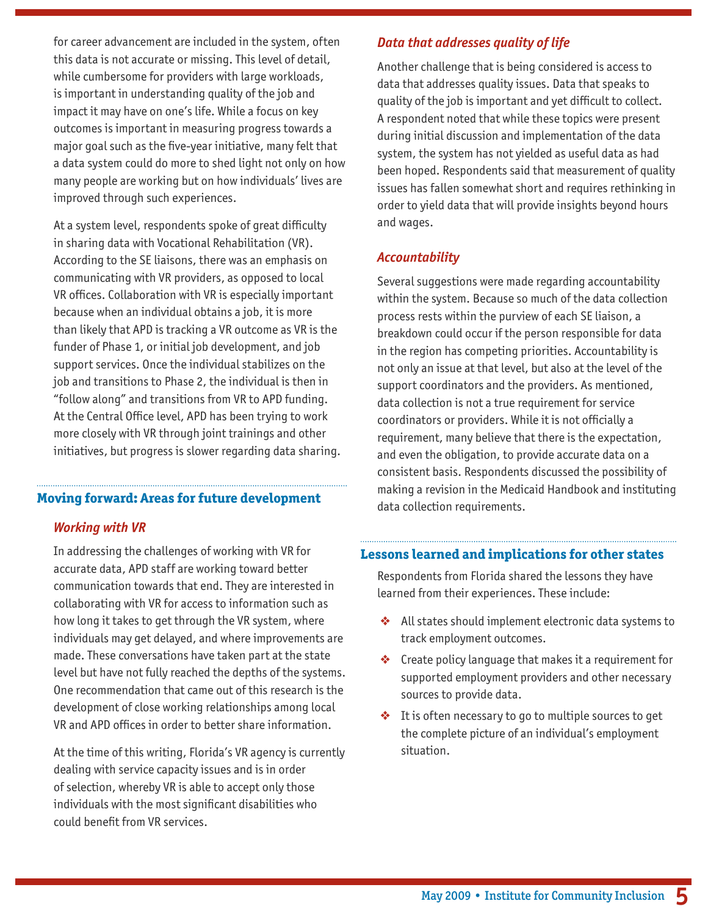for career advancement are included in the system, often this data is not accurate or missing. This level of detail, while cumbersome for providers with large workloads, is important in understanding quality of the job and impact it may have on one's life. While a focus on key outcomes is important in measuring progress towards a major goal such as the five-year initiative, many felt that a data system could do more to shed light not only on how many people are working but on how individuals' lives are improved through such experiences.

At a system level, respondents spoke of great difficulty in sharing data with Vocational Rehabilitation (VR). According to the SE liaisons, there was an emphasis on communicating with VR providers, as opposed to local VR offices. Collaboration with VR is especially important because when an individual obtains a job, it is more than likely that APD is tracking a VR outcome as VR is the funder of Phase 1, or initial job development, and job support services. Once the individual stabilizes on the job and transitions to Phase 2, the individual is then in "follow along" and transitions from VR to APD funding. At the Central Office level, APD has been trying to work more closely with VR through joint trainings and other initiatives, but progress is slower regarding data sharing.

#### **Moving forward: Areas for future development**

#### *Working with VR*

In addressing the challenges of working with VR for accurate data, APD staff are working toward better communication towards that end. They are interested in collaborating with VR for access to information such as how long it takes to get through the VR system, where individuals may get delayed, and where improvements are made. These conversations have taken part at the state level but have not fully reached the depths of the systems. One recommendation that came out of this research is the development of close working relationships among local VR and APD offices in order to better share information.

At the time of this writing, Florida's VR agency is currently dealing with service capacity issues and is in order of selection, whereby VR is able to accept only those individuals with the most significant disabilities who could benefit from VR services.

#### *Data that addresses quality of life*

Another challenge that is being considered is access to data that addresses quality issues. Data that speaks to quality of the job is important and yet difficult to collect. A respondent noted that while these topics were present during initial discussion and implementation of the data system, the system has not yielded as useful data as had been hoped. Respondents said that measurement of quality issues has fallen somewhat short and requires rethinking in order to yield data that will provide insights beyond hours and wages.

#### *Accountability*

Several suggestions were made regarding accountability within the system. Because so much of the data collection process rests within the purview of each SE liaison, a breakdown could occur if the person responsible for data in the region has competing priorities. Accountability is not only an issue at that level, but also at the level of the support coordinators and the providers. As mentioned, data collection is not a true requirement for service coordinators or providers. While it is not officially a requirement, many believe that there is the expectation, and even the obligation, to provide accurate data on a consistent basis. Respondents discussed the possibility of making a revision in the Medicaid Handbook and instituting data collection requirements.

#### **Lessons learned and implications for other states**

Respondents from Florida shared the lessons they have learned from their experiences. These include:

- ❖ All states should implement electronic data systems to track employment outcomes.
- ❖ Create policy language that makes it a requirement for supported employment providers and other necessary sources to provide data.
- ❖ It is often necessary to go to multiple sources to get the complete picture of an individual's employment situation.